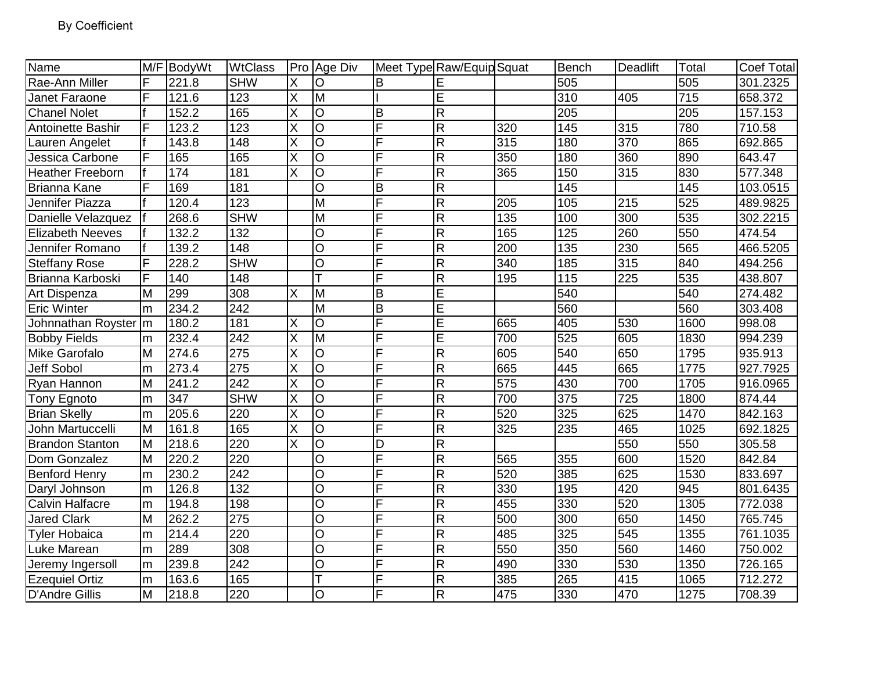| Name                    | M/F | BodyWt | <b>WtClass</b> |                         | Pro Age Div             |                | Meet Type Raw/Equip Squat |                  | Bench            | <b>Deadlift</b> | Total | <b>Coef Total</b> |
|-------------------------|-----|--------|----------------|-------------------------|-------------------------|----------------|---------------------------|------------------|------------------|-----------------|-------|-------------------|
| Rae-Ann Miller          | F   | 221.8  | <b>SHW</b>     | Χ                       | O                       | в              | Ε                         |                  | 505              |                 | 505   | 301.2325          |
| Janet Faraone           | F   | 121.6  | 123            | X                       | $\overline{\mathsf{M}}$ |                | Ē                         |                  | 310              | 405             | 715   | 658.372           |
| <b>Chanel Nolet</b>     |     | 152.2  | 165            | X                       | lO                      | B              | R                         |                  | 205              |                 | 205   | 157.153           |
| Antoinette Bashir       | F   | 123.2  | 123            | X                       | O                       | F              | R                         | 320              | 145              | 315             | 780   | 710.58            |
| Lauren Angelet          |     | 143.8  | 148            | X                       | $\overline{O}$          | F              | $\overline{R}$            | 315              | 180              | 370             | 865   | 692.865           |
| Jessica Carbone         | F   | 165    | 165            | X                       | $\overline{O}$          | F              | R                         | 350              | 180              | 360             | 890   | 643.47            |
| <b>Heather Freeborn</b> |     | 174    | 181            | X                       | $\overline{O}$          | F              | R                         | 365              | 150              | $\frac{1}{315}$ | 830   | 577.348           |
| <b>Brianna Kane</b>     | F   | 169    | 181            |                         | $\overline{O}$          | B              | R                         |                  | 145              |                 | 145   | 103.0515          |
| Jennifer Piazza         |     | 120.4  | 123            |                         | M                       | F              | R                         | 205              | 105              | 215             | 525   | 489.9825          |
| Danielle Velazquez      |     | 268.6  | <b>SHW</b>     |                         | M                       | F              | R                         | 135              | 100              | 300             | 535   | 302.2215          |
| <b>Elizabeth Neeves</b> |     | 132.2  | 132            |                         | $\overline{O}$          | F              | $\overline{R}$            | 165              | 125              | 260             | 550   | 474.54            |
| Jennifer Romano         |     | 139.2  | 148            |                         | $\overline{O}$          | F              | R                         | 200              | 135              | 230             | 565   | 466.5205          |
| <b>Steffany Rose</b>    | F   | 228.2  | <b>SHW</b>     |                         | $\circ$                 | F              | $\overline{R}$            | 340              | 185              | 315             | 840   | 494.256           |
| Brianna Karboski        | F   | 140    | 148            |                         | $\overline{\mathsf{T}}$ | F              | $\overline{R}$            | 195              | $\overline{115}$ | 225             | 535   | 438.807           |
| Art Dispenza            | M   | 299    | 308            | X                       | M                       | B              | E                         |                  | 540              |                 | 540   | 274.482           |
| <b>Eric Winter</b>      | m   | 234.2  | 242            |                         | M                       | B              | $\overline{E}$            |                  | 560              |                 | 560   | 303.408           |
| Johnnathan Royster   m  |     | 180.2  | 181            | X                       | O                       | F              | $\overline{\mathsf{E}}$   | 665              | 405              | 530             | 1600  | 998.08            |
| <b>Bobby Fields</b>     | m   | 232.4  | 242            | X                       | M                       | F              | E                         | 700              | 525              | 605             | 1830  | 994.239           |
| Mike Garofalo           | M   | 274.6  | 275            | X                       | O                       | F              | R                         | 605              | 540              | 650             | 1795  | 935.913           |
| Jeff Sobol              | m   | 273.4  | 275            | $\overline{\mathsf{x}}$ | $\overline{O}$          | F              | R                         | 665              | 445              | 665             | 1775  | 927.7925          |
| Ryan Hannon             | M   | 241.2  | 242            | X                       | $\overline{O}$          | F              | R                         | $\overline{575}$ | 430              | 700             | 1705  | 916.0965          |
| <b>Tony Egnoto</b>      | m   | 347    | <b>SHW</b>     | X                       | $\overline{O}$          | F              | R                         | 700              | 375              | 725             | 1800  | 874.44            |
| <b>Brian Skelly</b>     | m   | 205.6  | 220            | $\overline{\mathsf{X}}$ | $\overline{\circ}$      | F              | $\overline{R}$            | 520              | 325              | 625             | 1470  | 842.163           |
| John Martuccelli        | M   | 161.8  | 165            | $\overline{\mathsf{X}}$ | O                       | F              | $\mathsf{R}$              | 325              | 235              | 465             | 1025  | 692.1825          |
| <b>Brandon Stanton</b>  | lм  | 218.6  | 220            | X                       | $\overline{O}$          | D              | $\overline{R}$            |                  |                  | 550             | 550   | 305.58            |
| Dom Gonzalez            | M   | 220.2  | 220            |                         | $\overline{O}$          | $\overline{F}$ | $\overline{R}$            | 565              | 355              | 600             | 1520  | 842.84            |
| <b>Benford Henry</b>    | m   | 230.2  | 242            |                         | $\circ$                 | F              | R                         | 520              | 385              | 625             | 1530  | 833.697           |
| Daryl Johnson           | m   | 126.8  | 132            |                         | $\circ$                 | F              | R                         | 330              | 195              | 420             | 945   | 801.6435          |
| Calvin Halfacre         | m   | 194.8  | 198            |                         | $\overline{\circ}$      | F              | R                         | 455              | 330              | 520             | 1305  | 772.038           |
| <b>Jared Clark</b>      | lм  | 262.2  | 275            |                         | $\circ$                 | F              | R                         | 500              | 300              | 650             | 1450  | 765.745           |
| <b>Tyler Hobaica</b>    | m   | 214.4  | 220            |                         | $\circ$                 | F              | $\mathsf R$               | 485              | 325              | 545             | 1355  | 761.1035          |
| Luke Marean             | m   | 289    | 308            |                         | $\overline{O}$          | F              | R                         | 550              | 350              | 560             | 1460  | 750.002           |
| Jeremy Ingersoll        | m   | 239.8  | 242            |                         | $\circ$                 | F              | R                         | 490              | 330              | 530             | 1350  | 726.165           |
| <b>Ezequiel Ortiz</b>   | m   | 163.6  | 165            |                         | T                       | F              | $\mathsf R$               | 385              | 265              | 415             | 1065  | 712.272           |
| D'Andre Gillis          | lм  | 218.8  | 220            |                         | O                       | $\overline{F}$ | $\overline{R}$            | 475              | 330              | 470             | 1275  | 708.39            |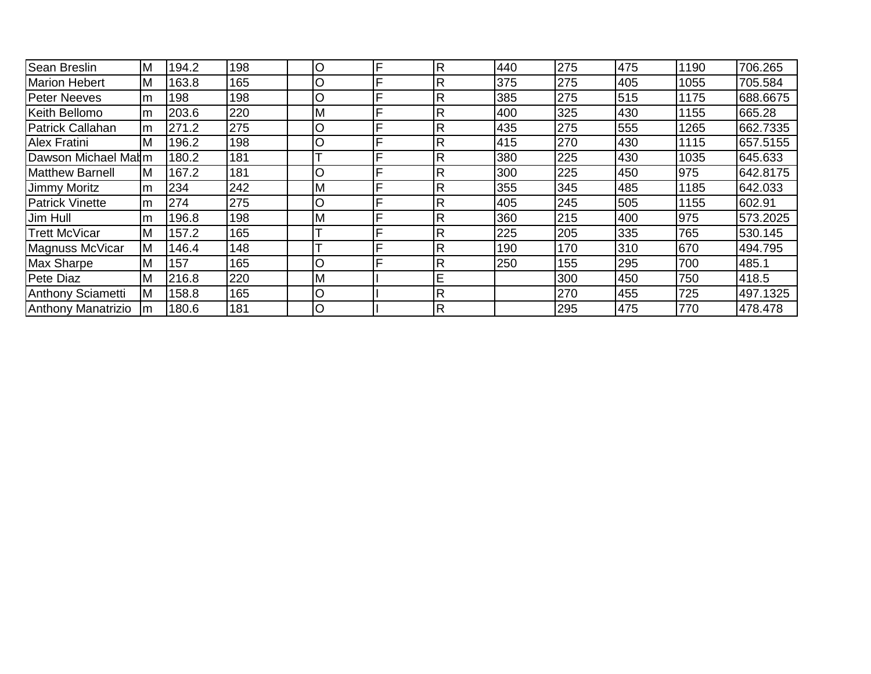| <b>Sean Breslin</b>       | M   | 194.2 | 198 | lO       | F | $\mathsf{R}$ | 440 | 275 | 475 | 1190 | 706.265  |
|---------------------------|-----|-------|-----|----------|---|--------------|-----|-----|-----|------|----------|
| <b>Marion Hebert</b>      | M   | 163.8 | 165 | lO       |   | R            | 375 | 275 | 405 | 1055 | 705.584  |
| <b>Peter Neeves</b>       | m   | 198   | 198 | lO       |   | R            | 385 | 275 | 515 | 1175 | 688.6675 |
| Keith Bellomo             | m   | 203.6 | 220 | <b>M</b> | Е | R            | 400 | 325 | 430 | 1155 | 665.28   |
| Patrick Callahan          | lm  | 271.2 | 275 | lO       | E | $\mathsf{R}$ | 435 | 275 | 555 | 1265 | 662.7335 |
| <b>Alex Fratini</b>       | M   | 196.2 | 198 | lO       | Е | $\mathsf{R}$ | 415 | 270 | 430 | 1115 | 657.5155 |
| Dawson Michael Malm       |     | 180.2 | 181 | ᠇        |   | R            | 380 | 225 | 430 | 1035 | 645.633  |
| <b>Matthew Barnell</b>    | M   | 167.2 | 181 | $\circ$  |   | R            | 300 | 225 | 450 | 975  | 642.8175 |
| <b>Jimmy Moritz</b>       | m   | 234   | 242 | IМ       | Е | $\mathsf{R}$ | 355 | 345 | 485 | 1185 | 642.033  |
| <b>Patrick Vinette</b>    | lm  | 274   | 275 | lO       | E | $\mathsf{R}$ | 405 | 245 | 505 | 1155 | 602.91   |
| Jim Hull                  | lm  | 196.8 | 198 | <b>M</b> |   | $\mathsf{R}$ | 360 | 215 | 400 | 975  | 573.2025 |
| <b>Trett McVicar</b>      | M   | 157.2 | 165 | ᠇        |   | R            | 225 | 205 | 335 | 765  | 530.145  |
| Magnuss McVicar           | M   | 146.4 | 148 |          |   | $\mathsf{R}$ | 190 | 170 | 310 | 670  | 494.795  |
| <b>Max Sharpe</b>         | M   | 157   | 165 | lO       |   | $\mathsf{R}$ | 250 | 155 | 295 | 700  | 485.1    |
| <b>Pete Diaz</b>          | M   | 216.8 | 220 | <b>M</b> |   | E            |     | 300 | 450 | 750  | 418.5    |
| Anthony Sciametti         | lΜ  | 158.8 | 165 | lO       |   | $\mathsf{R}$ |     | 270 | 455 | 725  | 497.1325 |
| <b>Anthony Manatrizio</b> | Im. | 180.6 | 181 | lO       |   | $\mathsf{R}$ |     | 295 | 475 | 770  | 478.478  |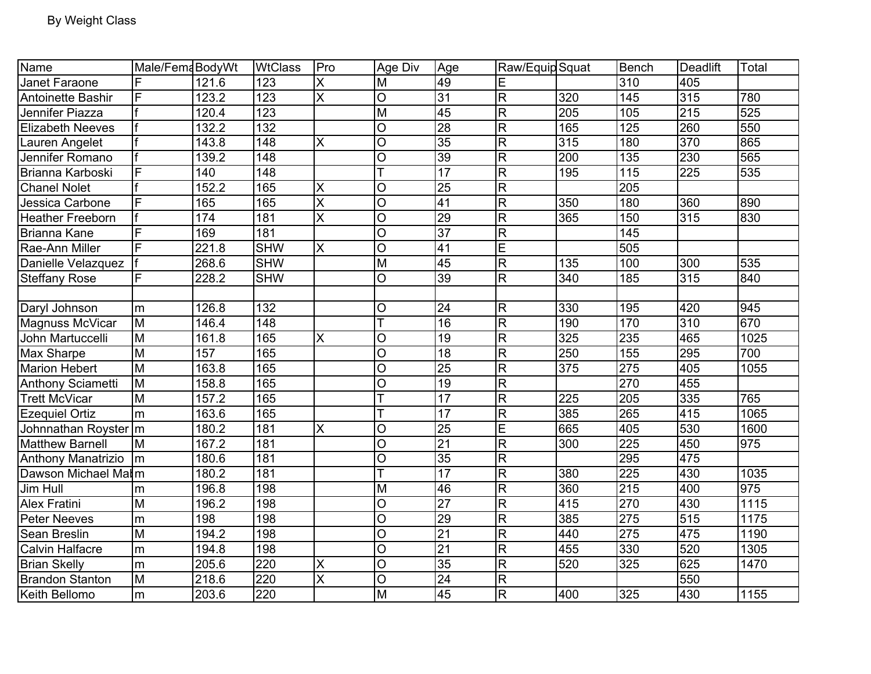| Name                      | Male/FemaBodyWt         |       | <b>WtClass</b>   | Pro                     | Age Div                 | Age             | Raw/Equip Squat         |                  | <b>Bench</b>     | Deadlift         | Total             |
|---------------------------|-------------------------|-------|------------------|-------------------------|-------------------------|-----------------|-------------------------|------------------|------------------|------------------|-------------------|
| Janet Faraone             | F                       | 121.6 | 123              | X                       | M                       | 49              | Ε                       |                  | 310              | 405              |                   |
| Antoinette Bashir         | F                       | 123.2 | 123              | X                       | O                       | 31              | $\overline{\mathbf{K}}$ | 320              | 145              | 315              | 780               |
| Jennifer Piazza           |                         | 120.4 | 123              |                         | M                       | 45              | $\overline{R}$          | 205              | 105              | 215              | 525               |
| <b>Elizabeth Neeves</b>   |                         | 132.2 | 132              |                         | O                       | 28              | $\overline{\mathsf{R}}$ | 165              | 125              | 260              | 550               |
| Lauren Angelet            |                         | 143.8 | 148              | Χ                       | O                       | 35              | $\overline{R}$          | 315              | 180              | 370              | 865               |
| Jennifer Romano           |                         | 139.2 | 148              |                         | O                       | 39              | $\overline{\mathbf{K}}$ | 200              | 135              | 230              | 565               |
| Brianna Karboski          | F                       | 140   | $\overline{148}$ |                         | $\overline{\mathsf{T}}$ | 17              | $\overline{\mathsf{R}}$ | 195              | $\overline{115}$ | $\overline{225}$ | 535               |
| <b>Chanel Nolet</b>       |                         | 152.2 | 165              | X                       | O                       | $\overline{25}$ | $\overline{\mathbf{K}}$ |                  | 205              |                  |                   |
| Jessica Carbone           | F                       | 165   | 165              | $\overline{\mathsf{x}}$ | $\overline{\rm o}$      | 41              | $\overline{\mathsf{R}}$ | 350              | 180              | 360              | 890               |
| <b>Heather Freeborn</b>   |                         | 174   | 181              | X                       | O                       | $\overline{29}$ | $\mathsf R$             | 365              | 150              | 315              | 830               |
| <b>Brianna Kane</b>       | F                       | 169   | 181              |                         | $\overline{O}$          | $\overline{37}$ | $\overline{\mathbf{K}}$ |                  | $\overline{145}$ |                  |                   |
| Rae-Ann Miller            | F                       | 221.8 | <b>SHW</b>       | Χ                       | $\overline{\rm o}$      | $\overline{41}$ | E                       |                  | 505              |                  |                   |
| Danielle Velazquez        |                         | 268.6 | <b>SHW</b>       |                         | $\overline{\mathsf{M}}$ | 45              | $\overline{\mathsf{R}}$ | $\overline{135}$ | 100              | 300              | 535               |
| <b>Steffany Rose</b>      | F                       | 228.2 | <b>SHW</b>       |                         | $\circ$                 | 39              | $\overline{\mathsf{R}}$ | 340              | 185              | 315              | 840               |
|                           |                         |       |                  |                         |                         |                 |                         |                  |                  |                  |                   |
| Daryl Johnson             | m                       | 126.8 | 132              |                         | Ο                       | 24              | R                       | 330              | 195              | 420              | 945               |
| Magnuss McVicar           | M                       | 146.4 | 148              |                         |                         | $\overline{16}$ | $\overline{\mathsf{R}}$ | 190              | 170              | 310              | 670               |
| John Martuccelli          | $\overline{\mathsf{M}}$ | 161.8 | 165              | X                       | O                       | $\overline{19}$ | $\overline{\mathbf{K}}$ | 325              | 235              | 465              | 1025              |
| <b>Max Sharpe</b>         | $\overline{M}$          | 157   | 165              |                         | $\overline{O}$          | $\overline{18}$ | $\overline{\mathsf{R}}$ | 250              | 155              | 295              | 700               |
| <b>Marion Hebert</b>      | $\overline{M}$          | 163.8 | 165              |                         | O                       | $\overline{25}$ | $\overline{\mathsf{R}}$ | 375              | 275              | 405              | 1055              |
| <b>Anthony Sciametti</b>  | M                       | 158.8 | 165              |                         | $\overline{O}$          | 19              | $\overline{\mathsf{R}}$ |                  | 270              | 455              |                   |
| <b>Trett McVicar</b>      | M                       | 157.2 | 165              |                         | T                       | 17              | $\overline{\mathsf{R}}$ | $\overline{225}$ | $\overline{205}$ | 335              | 765               |
| <b>Ezequiel Ortiz</b>     | m                       | 163.6 | 165              |                         | T                       | $\overline{17}$ | $\overline{\mathbf{K}}$ | 385              | 265              | 415              | 1065              |
| Johnnathan Royster   m    |                         | 180.2 | 181              | X                       | O                       | $\overline{25}$ | $\overline{E}$          | 665              | 405              | 530              | 1600              |
| <b>Matthew Barnell</b>    | M                       | 167.2 | 181              |                         | O                       | $\overline{21}$ | $\overline{\pi}$        | 300              | $\overline{225}$ | 450              | 975               |
| <b>Anthony Manatrizio</b> | $\mathsf{m}$            | 180.6 | 181              |                         | $\overline{O}$          | 35              | $\overline{\mathbf{K}}$ |                  | 295              | 475              |                   |
| Dawson Michael Malm       |                         | 180.2 | 181              |                         |                         | $\overline{17}$ | $\overline{\pi}$        | 380              | $\overline{225}$ | 430              | 1035              |
| Jim Hull                  | ${\sf m}$               | 196.8 | 198              |                         | M                       | 46              | $\overline{\mathsf{R}}$ | $\overline{360}$ | $\overline{215}$ | 400              | 975               |
| <b>Alex Fratini</b>       | $\overline{M}$          | 196.2 | 198              |                         | O                       | $\overline{27}$ | $\overline{\mathsf{R}}$ | 415              | 270              | 430              | $\overline{1115}$ |
| <b>Peter Neeves</b>       | ${\sf m}$               | 198   | 198              |                         | O                       | $\overline{29}$ | $\overline{\mathsf{R}}$ | 385              | 275              | 515              | 1175              |
| Sean Breslin              | $\overline{M}$          | 194.2 | 198              |                         | O                       | $\overline{21}$ | $\overline{\pi}$        | 440              | 275              | 475              | 1190              |
| <b>Calvin Halfacre</b>    | m                       | 194.8 | 198              |                         | O                       | $\overline{21}$ | $\overline{\mathsf{R}}$ | 455              | 330              | 520              | 1305              |
| <b>Brian Skelly</b>       | m                       | 205.6 | 220              | X                       | O                       | 35              | $\overline{\mathbf{K}}$ | 520              | 325              | 625              | 1470              |
| <b>Brandon Stanton</b>    | M                       | 218.6 | 220              | X                       | O                       | $\overline{24}$ | $\overline{\mathbf{K}}$ |                  |                  | 550              |                   |
| Keith Bellomo             | m                       | 203.6 | 220              |                         | $\overline{M}$          | 45              | $\overline{R}$          | 400              | 325              | 430              | 1155              |